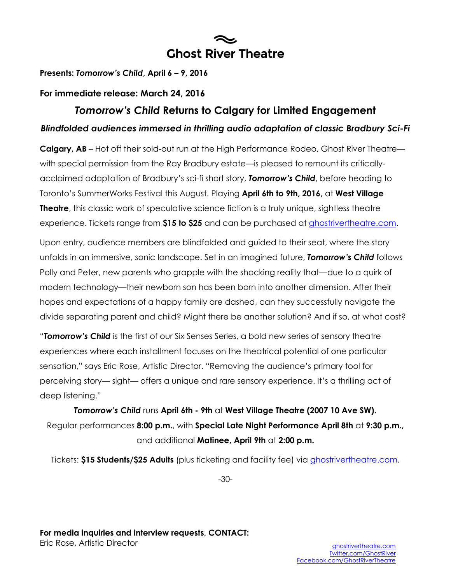# **Ghost River Theatre**

**Presents:** *Tomorrow's Child***, April 6 – 9, 2016**

### **For immediate release: March 24, 2016**

## *Tomorrow's Child* **Returns to Calgary for Limited Engagement**  *Blindfolded audiences immersed in thrilling audio adaptation of classic Bradbury Sci-Fi*

**Calgary, AB** – Hot off their sold-out run at the High Performance Rodeo, Ghost River Theatre with special permission from the Ray Bradbury estate—is pleased to remount its criticallyacclaimed adaptation of Bradbury's sci-fi short story, *Tomorrow's Child*, before heading to Toronto's SummerWorks Festival this August. Playing **April 6th to 9th, 2016,** at **West Village Theatre**, this classic work of speculative science fiction is a truly unique, sightless theatre experience. Tickets range from **\$15 to \$25** and can be purchased at [ghostrivertheatre.com.](http://www.ghostrivertheatre.com/#grt)

Upon entry, audience members are blindfolded and guided to their seat, where the story unfolds in an immersive, sonic landscape. Set in an imagined future, *Tomorrow's Child* follows Polly and Peter, new parents who grapple with the shocking reality that—due to a quirk of modern technology—their newborn son has been born into another dimension. After their hopes and expectations of a happy family are dashed, can they successfully navigate the divide separating parent and child? Might there be another solution? And if so, at what cost?

"*Tomorrow's Child* is the first of our Six Senses Series, a bold new series of sensory theatre experiences where each installment focuses on the theatrical potential of one particular sensation," says Eric Rose, Artistic Director. "Removing the audience's primary tool for perceiving story— sight— offers a unique and rare sensory experience. It's a thrilling act of deep listening."

*Tomorrow's Child* runs **April 6th - 9th** at **West Village Theatre (2007 10 Ave SW).** Regular performances **8:00 p.m.**, with **Special Late Night Performance April 8th** at **9:30 p.m.,**  and additional **Matinee, April 9th** at **2:00 p.m.**

Tickets: **\$15 Students/\$25 Adults** (plus ticketing and facility fee) via [ghostrivertheatre.com.](http://www.ghostrivertheatre.com/)

-30-

**For media inquiries and interview requests, CONTACT:** Eric Rose, Artistic Director [ghostrivertheatre.com](http://www.ghostrivertheatre.com/)